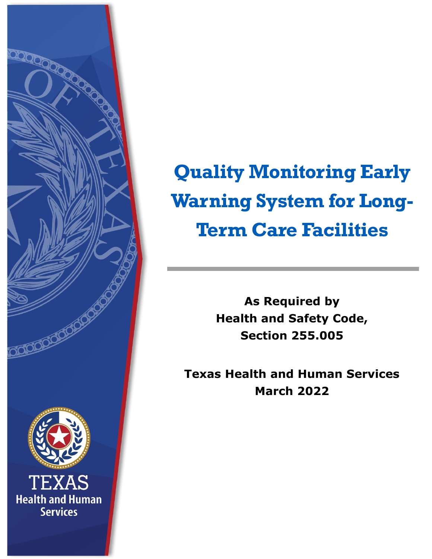

# **Quality Monitoring Early Warning System for Long-Term Care Facilities**

**As Required by Health and Safety Code, Section 255.005**

**Texas Health and Human Services March 2022**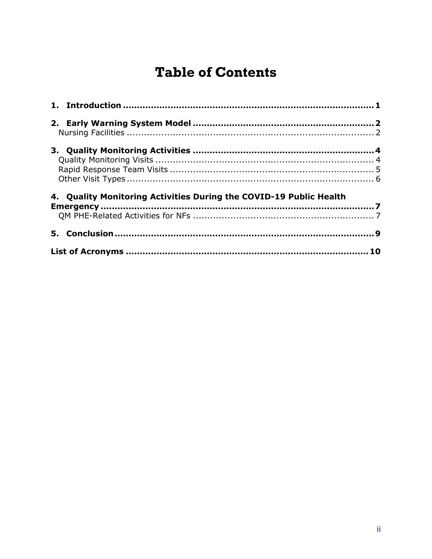#### **Table of Contents**

| 4. Quality Monitoring Activities During the COVID-19 Public Health |  |
|--------------------------------------------------------------------|--|
|                                                                    |  |
|                                                                    |  |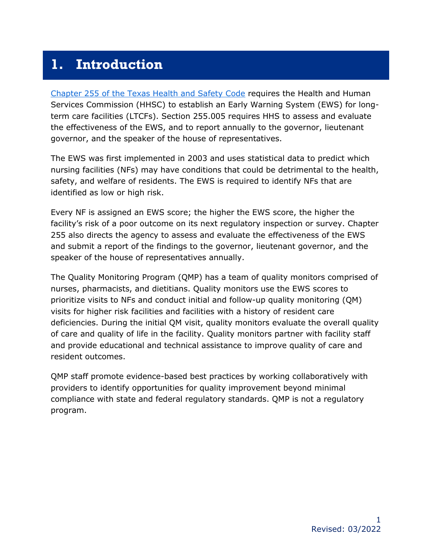#### <span id="page-2-0"></span>**1. Introduction**

[Chapter 255 of the Texas Health and Safety Code](https://statutes.capitol.texas.gov/Docs/HS/htm/HS.255.htm) requires the Health and Human Services Commission (HHSC) to establish an Early Warning System (EWS) for longterm care facilities (LTCFs). Section 255.005 requires HHS to assess and evaluate the effectiveness of the EWS, and to report annually to the governor, lieutenant governor, and the speaker of the house of representatives.

The EWS was first implemented in 2003 and uses statistical data to predict which nursing facilities (NFs) may have conditions that could be detrimental to the health, safety, and welfare of residents. The EWS is required to identify NFs that are identified as low or high risk.

Every NF is assigned an EWS score; the higher the EWS score, the higher the facility's risk of a poor outcome on its next regulatory inspection or survey. Chapter 255 also directs the agency to assess and evaluate the effectiveness of the EWS and submit a report of the findings to the governor, lieutenant governor, and the speaker of the house of representatives annually.

The Quality Monitoring Program (QMP) has a team of quality monitors comprised of nurses, pharmacists, and dietitians. Quality monitors use the EWS scores to prioritize visits to NFs and conduct initial and follow-up quality monitoring (QM) visits for higher risk facilities and facilities with a history of resident care deficiencies. During the initial QM visit, quality monitors evaluate the overall quality of care and quality of life in the facility. Quality monitors partner with facility staff and provide educational and technical assistance to improve quality of care and resident outcomes.

QMP staff promote evidence-based best practices by working collaboratively with providers to identify opportunities for quality improvement beyond minimal compliance with state and federal regulatory standards. QMP is not a regulatory program.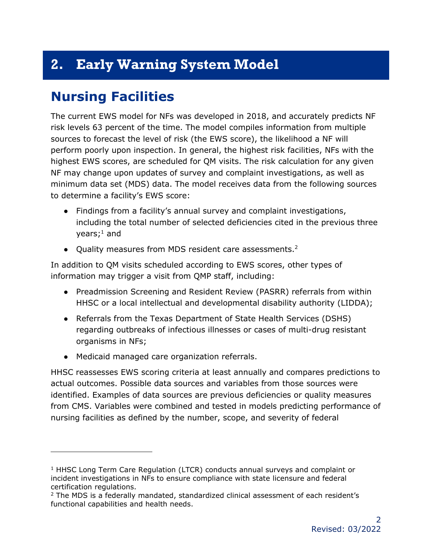## <span id="page-3-0"></span>**2. Early Warning System Model**

#### <span id="page-3-1"></span>**Nursing Facilities**

The current EWS model for NFs was developed in 2018, and accurately predicts NF risk levels 63 percent of the time. The model compiles information from multiple sources to forecast the level of risk (the EWS score), the likelihood a NF will perform poorly upon inspection. In general, the highest risk facilities, NFs with the highest EWS scores, are scheduled for QM visits. The risk calculation for any given NF may change upon updates of survey and complaint investigations, as well as minimum data set (MDS) data. The model receives data from the following sources to determine a facility's EWS score:

- Findings from a facility's annual survey and complaint investigations, including the total number of selected deficiencies cited in the previous three years; <sup>1</sup> and
- Quality measures from MDS resident care assessments.<sup>2</sup>

In addition to QM visits scheduled according to EWS scores, other types of information may trigger a visit from QMP staff, including:

- Preadmission Screening and Resident Review (PASRR) referrals from within HHSC or a local intellectual and developmental disability authority (LIDDA);
- Referrals from the Texas Department of State Health Services (DSHS) regarding outbreaks of infectious illnesses or cases of multi-drug resistant organisms in NFs;
- Medicaid managed care organization referrals.

HHSC reassesses EWS scoring criteria at least annually and compares predictions to actual outcomes. Possible data sources and variables from those sources were identified. Examples of data sources are previous deficiencies or quality measures from CMS. Variables were combined and tested in models predicting performance of nursing facilities as defined by the number, scope, and severity of federal

 $1$  HHSC Long Term Care Regulation (LTCR) conducts annual surveys and complaint or incident investigations in NFs to ensure compliance with state licensure and federal certification regulations.

<sup>&</sup>lt;sup>2</sup> The MDS is a federally mandated, standardized clinical assessment of each resident's functional capabilities and health needs.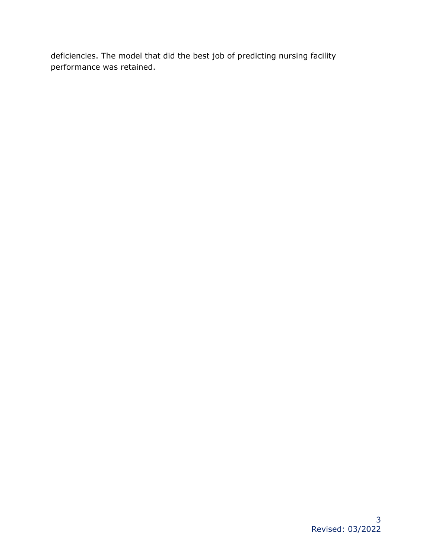deficiencies. The model that did the best job of predicting nursing facility performance was retained.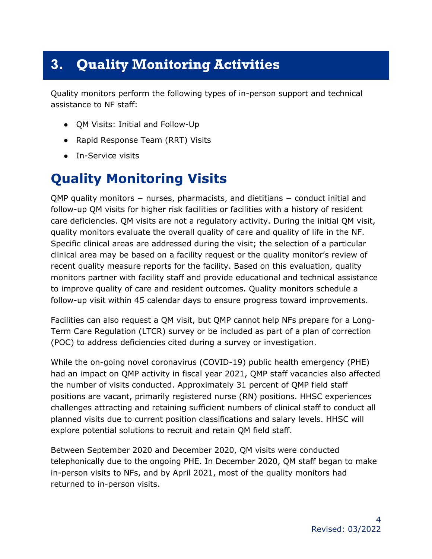## <span id="page-5-0"></span>**3. Quality Monitoring Activities**

Quality monitors perform the following types of in-person support and technical assistance to NF staff:

- QM Visits: Initial and Follow-Up
- Rapid Response Team (RRT) Visits
- In-Service visits

#### <span id="page-5-1"></span>**Quality Monitoring Visits**

QMP quality monitors – nurses, pharmacists, and dietitians – conduct initial and follow-up QM visits for higher risk facilities or facilities with a history of resident care deficiencies. QM visits are not a regulatory activity. During the initial QM visit, quality monitors evaluate the overall quality of care and quality of life in the NF. Specific clinical areas are addressed during the visit; the selection of a particular clinical area may be based on a facility request or the quality monitor's review of recent quality measure reports for the facility. Based on this evaluation, quality monitors partner with facility staff and provide educational and technical assistance to improve quality of care and resident outcomes. Quality monitors schedule a follow-up visit within 45 calendar days to ensure progress toward improvements.

Facilities can also request a QM visit, but QMP cannot help NFs prepare for a Long-Term Care Regulation (LTCR) survey or be included as part of a plan of correction (POC) to address deficiencies cited during a survey or investigation.

While the on-going novel coronavirus (COVID-19) public health emergency (PHE) had an impact on QMP activity in fiscal year 2021, QMP staff vacancies also affected the number of visits conducted. Approximately 31 percent of QMP field staff positions are vacant, primarily registered nurse (RN) positions. HHSC experiences challenges attracting and retaining sufficient numbers of clinical staff to conduct all planned visits due to current position classifications and salary levels. HHSC will explore potential solutions to recruit and retain QM field staff.

Between September 2020 and December 2020, QM visits were conducted telephonically due to the ongoing PHE. In December 2020, QM staff began to make in-person visits to NFs, and by April 2021, most of the quality monitors had returned to in-person visits.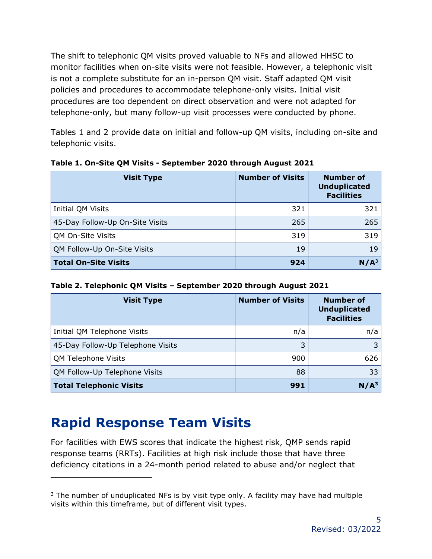The shift to telephonic QM visits proved valuable to NFs and allowed HHSC to monitor facilities when on-site visits were not feasible. However, a telephonic visit is not a complete substitute for an in-person QM visit. Staff adapted QM visit policies and procedures to accommodate telephone-only visits. Initial visit procedures are too dependent on direct observation and were not adapted for telephone-only, but many follow-up visit processes were conducted by phone.

Tables 1 and 2 provide data on initial and follow-up QM visits, including on-site and telephonic visits.

| <b>Visit Type</b>               | <b>Number of Visits</b> | <b>Number of</b><br><b>Unduplicated</b><br><b>Facilities</b> |
|---------------------------------|-------------------------|--------------------------------------------------------------|
| Initial QM Visits               | 321                     | 321                                                          |
| 45-Day Follow-Up On-Site Visits | 265                     | 265                                                          |
| QM On-Site Visits               | 319                     | 319                                                          |
| QM Follow-Up On-Site Visits     | 19                      | 19                                                           |
| <b>Total On-Site Visits</b>     | 924                     | $N/A^3$                                                      |

**Table 1. On-Site QM Visits - September 2020 through August 2021**

**Table 2. Telephonic QM Visits – September 2020 through August 2021**

| <b>Visit Type</b>                 | <b>Number of Visits</b> | <b>Number of</b><br><b>Unduplicated</b><br><b>Facilities</b> |
|-----------------------------------|-------------------------|--------------------------------------------------------------|
| Initial QM Telephone Visits       | n/a                     | n/a                                                          |
| 45-Day Follow-Up Telephone Visits | 3                       | 3                                                            |
| QM Telephone Visits               | 900                     | 626                                                          |
| QM Follow-Up Telephone Visits     | 88                      | 33                                                           |
| <b>Total Telephonic Visits</b>    | 991                     | $N/A^3$                                                      |

# <span id="page-6-0"></span>**Rapid Response Team Visits**

For facilities with EWS scores that indicate the highest risk, QMP sends rapid response teams (RRTs). Facilities at high risk include those that have three deficiency citations in a 24-month period related to abuse and/or neglect that

 $3$  The number of unduplicated NFs is by visit type only. A facility may have had multiple visits within this timeframe, but of different visit types.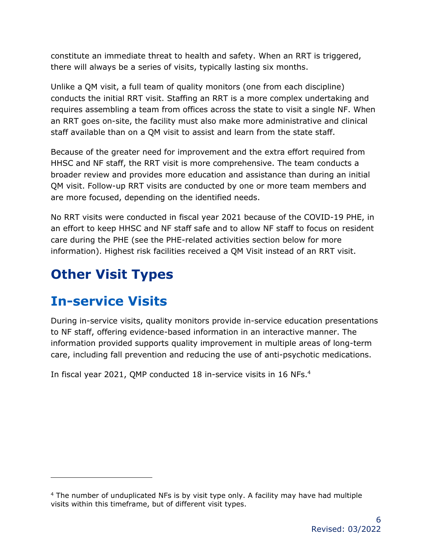constitute an immediate threat to health and safety. When an RRT is triggered, there will always be a series of visits, typically lasting six months.

Unlike a QM visit, a full team of quality monitors (one from each discipline) conducts the initial RRT visit. Staffing an RRT is a more complex undertaking and requires assembling a team from offices across the state to visit a single NF. When an RRT goes on-site, the facility must also make more administrative and clinical staff available than on a QM visit to assist and learn from the state staff.

Because of the greater need for improvement and the extra effort required from HHSC and NF staff, the RRT visit is more comprehensive. The team conducts a broader review and provides more education and assistance than during an initial QM visit. Follow-up RRT visits are conducted by one or more team members and are more focused, depending on the identified needs.

No RRT visits were conducted in fiscal year 2021 because of the COVID-19 PHE, in an effort to keep HHSC and NF staff safe and to allow NF staff to focus on resident care during the PHE (see the PHE-related activities section below for more information). Highest risk facilities received a QM Visit instead of an RRT visit.

# <span id="page-7-0"></span>**Other Visit Types**

#### **In-service Visits**

During in-service visits, quality monitors provide in-service education presentations to NF staff, offering evidence-based information in an interactive manner. The information provided supports quality improvement in multiple areas of long-term care, including fall prevention and reducing the use of anti-psychotic medications.

In fiscal year 2021, QMP conducted 18 in-service visits in 16 NFs.<sup>4</sup>

<sup>4</sup> The number of unduplicated NFs is by visit type only. A facility may have had multiple visits within this timeframe, but of different visit types.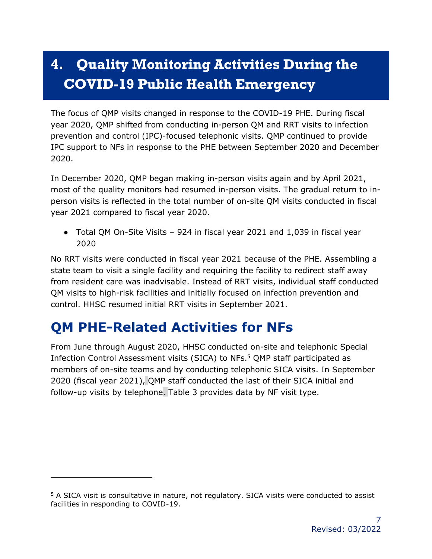# <span id="page-8-0"></span>**4. Quality Monitoring Activities During the COVID-19 Public Health Emergency**

The focus of QMP visits changed in response to the COVID-19 PHE. During fiscal year 2020, QMP shifted from conducting in-person QM and RRT visits to infection prevention and control (IPC)-focused telephonic visits. QMP continued to provide IPC support to NFs in response to the PHE between September 2020 and December 2020.

In December 2020, QMP began making in-person visits again and by April 2021, most of the quality monitors had resumed in-person visits. The gradual return to inperson visits is reflected in the total number of on-site QM visits conducted in fiscal year 2021 compared to fiscal year 2020.

● Total QM On-Site Visits – 924 in fiscal year 2021 and 1,039 in fiscal year 2020

No RRT visits were conducted in fiscal year 2021 because of the PHE. Assembling a state team to visit a single facility and requiring the facility to redirect staff away from resident care was inadvisable. Instead of RRT visits, individual staff conducted QM visits to high-risk facilities and initially focused on infection prevention and control. HHSC resumed initial RRT visits in September 2021.

# <span id="page-8-1"></span>**QM PHE-Related Activities for NFs**

From June through August 2020, HHSC conducted on-site and telephonic Special Infection Control Assessment visits (SICA) to NFs. <sup>5</sup> QMP staff participated as members of on-site teams and by conducting telephonic SICA visits. In September 2020 (fiscal year 2021), QMP staff conducted the last of their SICA initial and follow-up visits by telephone. Table 3 provides data by NF visit type.

<sup>&</sup>lt;sup>5</sup> A SICA visit is consultative in nature, not regulatory. SICA visits were conducted to assist facilities in responding to COVID-19.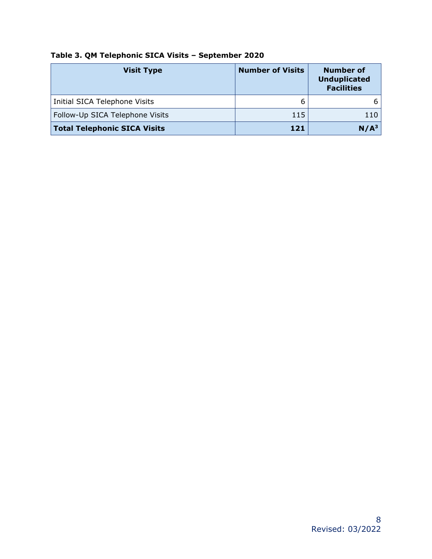| <b>Visit Type</b>                   | <b>Number of Visits</b> | <b>Number of</b><br><b>Unduplicated</b><br><b>Facilities</b> |
|-------------------------------------|-------------------------|--------------------------------------------------------------|
| Initial SICA Telephone Visits       | 6                       |                                                              |
| Follow-Up SICA Telephone Visits     | 115                     | 110                                                          |
| <b>Total Telephonic SICA Visits</b> | 121                     | N/A <sup>3</sup>                                             |

#### **Table 3. QM Telephonic SICA Visits – September 2020**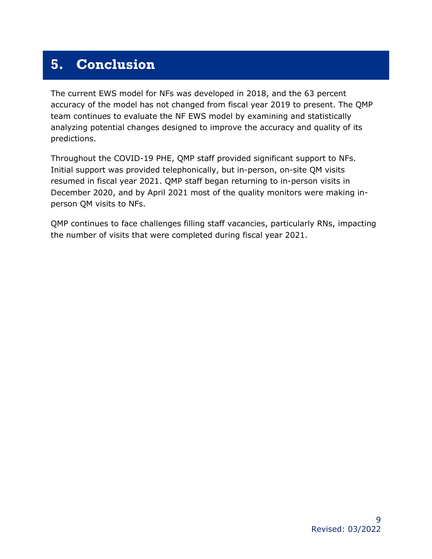#### <span id="page-10-0"></span>**5. Conclusion**

The current EWS model for NFs was developed in 2018, and the 63 percent accuracy of the model has not changed from fiscal year 2019 to present. The QMP team continues to evaluate the NF EWS model by examining and statistically analyzing potential changes designed to improve the accuracy and quality of its predictions.

Throughout the COVID-19 PHE, QMP staff provided significant support to NFs. Initial support was provided telephonically, but in-person, on-site QM visits resumed in fiscal year 2021. QMP staff began returning to in-person visits in December 2020, and by April 2021 most of the quality monitors were making inperson QM visits to NFs.

QMP continues to face challenges filling staff vacancies, particularly RNs, impacting the number of visits that were completed during fiscal year 2021.